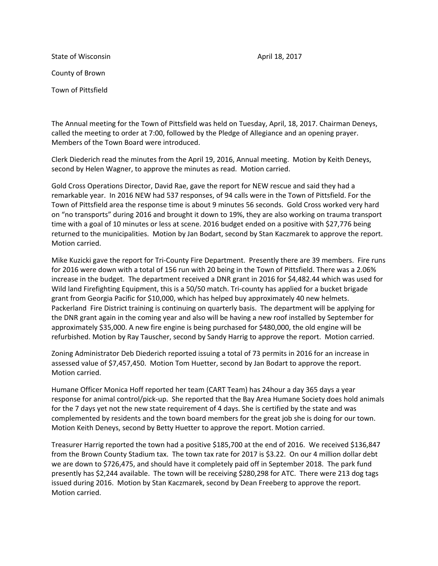State of Wisconsin **April 18, 2017 April 18, 2017** County of Brown Town of Pittsfield

The Annual meeting for the Town of Pittsfield was held on Tuesday, April, 18, 2017. Chairman Deneys, called the meeting to order at 7:00, followed by the Pledge of Allegiance and an opening prayer. Members of the Town Board were introduced.

Clerk Diederich read the minutes from the April 19, 2016, Annual meeting. Motion by Keith Deneys, second by Helen Wagner, to approve the minutes as read. Motion carried.

Gold Cross Operations Director, David Rae, gave the report for NEW rescue and said they had a remarkable year. In 2016 NEW had 537 responses, of 94 calls were in the Town of Pittsfield. For the Town of Pittsfield area the response time is about 9 minutes 56 seconds. Gold Cross worked very hard on "no transports" during 2016 and brought it down to 19%, they are also working on trauma transport time with a goal of 10 minutes or less at scene. 2016 budget ended on a positive with \$27,776 being returned to the municipalities. Motion by Jan Bodart, second by Stan Kaczmarek to approve the report. Motion carried.

Mike Kuzicki gave the report for Tri-County Fire Department. Presently there are 39 members. Fire runs for 2016 were down with a total of 156 run with 20 being in the Town of Pittsfield. There was a 2.06% increase in the budget. The department received a DNR grant in 2016 for \$4,482.44 which was used for Wild land Firefighting Equipment, this is a 50/50 match. Tri-county has applied for a bucket brigade grant from Georgia Pacific for \$10,000, which has helped buy approximately 40 new helmets. Packerland Fire District training is continuing on quarterly basis. The department will be applying for the DNR grant again in the coming year and also will be having a new roof installed by September for approximately \$35,000. A new fire engine is being purchased for \$480,000, the old engine will be refurbished. Motion by Ray Tauscher, second by Sandy Harrig to approve the report. Motion carried.

Zoning Administrator Deb Diederich reported issuing a total of 73 permits in 2016 for an increase in assessed value of \$7,457,450. Motion Tom Huetter, second by Jan Bodart to approve the report. Motion carried.

Humane Officer Monica Hoff reported her team (CART Team) has 24hour a day 365 days a year response for animal control/pick-up. She reported that the Bay Area Humane Society does hold animals for the 7 days yet not the new state requirement of 4 days. She is certified by the state and was complemented by residents and the town board members for the great job she is doing for our town. Motion Keith Deneys, second by Betty Huetter to approve the report. Motion carried.

Treasurer Harrig reported the town had a positive \$185,700 at the end of 2016. We received \$136,847 from the Brown County Stadium tax. The town tax rate for 2017 is \$3.22. On our 4 million dollar debt we are down to \$726,475, and should have it completely paid off in September 2018. The park fund presently has \$2,244 available. The town will be receiving \$280,298 for ATC. There were 213 dog tags issued during 2016. Motion by Stan Kaczmarek, second by Dean Freeberg to approve the report. Motion carried.